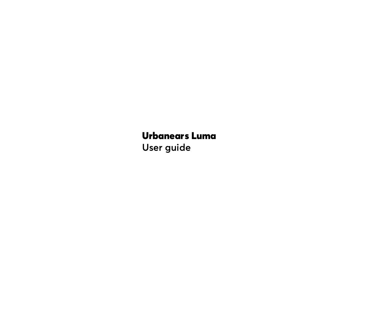# Urbanears Luma

**User guide**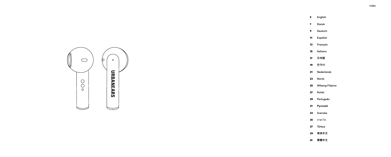- **[Dansk](#page-3-0)**
- **[Deutsch](#page-4-0)**

**[English](#page-2-0)**

- **[Español](#page-5-0)**
- **[Français](#page-6-0)**
- **[Italiano](#page-7-0)**
- **[日本語](#page-8-0)**
- **[한국어](#page-9-0)**
- **[Nederlands](#page-10-0)**
- **[Norsk](#page-11-0)**
- **[Wikang Filipino](#page-12-0)**
- **[Polski](#page-13-0)**
- **[Português](#page-14-0)**
- **[Русский](#page-15-0)**
- **[Svenska](#page-16-0)**
- [ภาษาไท](#page-17-0)
- **[Türkçe](#page-18-0)**
- **[简体中文](#page-19-0)**
- **[繁體中文](#page-20-0)**

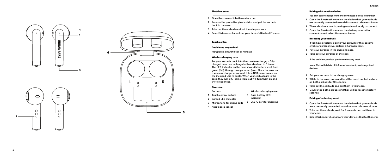#### First time setup

- **1 Open the case and take the earbuds out.**
- **2 Remove the protective plastic strips and put the earbuds back in the case.**
- **3 Take out the earbuds and put them in your ears.**
- **4 Select Urbanears Luma from your device's Bluetooth ® menu.**

# Touch control

# Double tap any earbud

**Play/pause, answer a call or hang up**

#### Wireless charging case

**Put your earbuds back into the case to recharge, a fully charged case can recharge both earbuds up to 5 times. The LED indicator on the case shows its battery level, from green (full), through orange to red (low). Place the case on a wireless charger or connect it to a USB power souce via the included USB-C cable. When your earbuds are in the case, they turn off. Taking them out will turn them on and try to reconnect.**

#### **Overview**

- **Earbuds**
- **1 Touch control surface 5 Case battery LED**
- **2 Earbud LED indicator**
- **3 Microphone for phone calls 6 USB-C port for charging**

**indicator**

**Wireless charging case** 

**4 Auto-pause sensor**

#### <span id="page-2-0"></span>Pairing with another device

**You can easily change from one connected device to another.**

- **1 Open the Bluetooth menu on the device that your earbuds are currently connected to and disconnect Urbanears Luma.**
- **2 The earbuds are now in pairing mode and ready to connect.**
- **3 Open the Bluetooth menu on the device you want to connect to and select Urbanears Luma.**

#### Resetting your earbuds

**If you have problems pairing your earbuds or they become erratic or unresponsive, perform a hardware reset.** 

- **1 Put your earbuds in the charging case.**
- **2 Take out your earbuds of the case.**

**If the problem persists, perform a factory reset.**

**Note: This will delete all information about previous paired devices.**

- **1 Put your earbuds in the charging case.**
- **2 While in the case, press and hold the touch control surface on both earbuds for 10 seconds.**
- **3 Take out the earbuds and put them in your ears.**
- **4 Double tap both earbuds and they will be reset to factory settings.**

# Pairing after factory reset

- **1 Open the Bluetooth menu on the device that your earbuds were previously connected to and remove Urbanears Luma.**
- **2 Take out the earbuds, wait for 5 seconds and put them in your ears.**
- **3 Select Urbanears Luma from your device's Bluetooth menu.**



4<br>1<br>3

**URBANEARS** 

 $\bigcirc$ 

 $\rm{O}O$ 

6

2

 $\bullet$ 

 $\bigcirc$ 

 $\circ$ Ŏ

**4**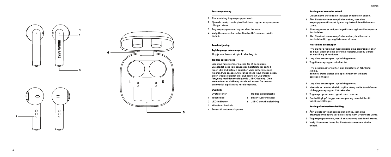# <span id="page-3-0"></span>Parring med en anden enhed

**Du kan nemt skifte fra en tilsluttet enhed til en anden.**

- **1 Åbn Bluetooth-menuen på den enhed, som dine ørepropper er tilsluttet lige nu og frakobl dem Urbanears Luma.**
- **2 Ørepropperne er nu i parringstilstand og klar til at oprette forbindelse.**
- **3 Åbn Bluetooth-menuen på den enhed, du vil oprette forbindelse til, og vælg Urbanears Luma.**

# Nulstil dine ørepropper

**parrede enheder.**

**Hvis du har problemer med at parre dine ørepropper, eller de bliver uberegnelige eller ikke reagerer, skal du udføre en nulstilling af hardware.** 

- **1 Læg dine ørepropper i opladningsetuiet.**
- **2 Tag dine ørepropper ud af etuiet.**

**Hvis problemet fortsætter, skal du udføre en fabriksnul stilling. Bemærk: Dette sletter alle oplysninger om tidligere** 

- **1 Læg dine ørepropper i opladningsetuiet.**
- **2 Mens de er i etuiet, skal du trykke på og holde touchfladen på begge ørepropper i 10 sekunder.**
- **3 Tag ørepropperne ud og sæt dem i ørerne.**
- **4 Dobbelttryk på begge ørepropper, og de nulstilles til fabriksindstillinger.**

# Parring efter fabriksnulstilling

- **1 Åbn Bluetooth-menuen på den enhed, som dine ørepropper tidligere var tilsluttet og fjern Urbanears Luma.**
- **<sup>2</sup> Tag ørepropperne ud, vent 5 sekunder og sæt dem i ørerne. 3 Vælg Urbanears Luma fra Bluetooth®-menuen på din**
- **enhed.**

#### Første opsætning

- **1 Åbn etuiet og tag ørepropperne ud.**
- **2 Fjern de beskyttende plastikstrimler, og sæt ørepropperne tilbage i etuiet.**
- 
- **<sup>3</sup> Tag ørepropperne ud og sæt dem i ørerne. 4 Vælg Urbanears Luma fra Bluetooth®-menuen på din enhed.**

# **Touchbetiening**

#### Tryk to gange på en øreprop

**Play/pause, besvar et opkald eller læg på**

# Trådløs opladeræske

**Læg dine høretelefoner i æsken for at genoplade. En opladet æske kan genoplade høretelefoner op til 5 timer. LED-indikatoren på æsken viser batteriniveauet, fra grøn (fuld opladet), til orange til rød (lav). Placér æsken på en trådløs oplader eller slut den til en USB-strøm forsyning med den medfølgende USB-C-ledning. Dine øretelefoner er slukkede, når de er i æsken. De tændes automatisk og tilslutter, når de tages ud.**

# Overblik

5

- **Øretelefoner**
- **1 Touchflade 5 Batteri-LED-indikator**
	- **6 USB-C port til opladning**

**Trådløs opladeræske**

- **2 LED-indikator 3 Mikrofon til opkald**
- **4 Sensor til automatisk pause**



4<br>1<br>3

**URBANEARS** 

 $\bigcirc$ 

 $\rm{O}O$ 

2

 $\bullet$ 

 $\bigcirc$ 

 $\circ$ 

Ŏ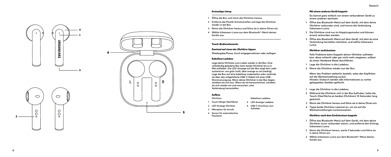#### Erstmaliges Setup

- **1 Öffne die Box und nimm die Ohrhörer heraus.**
- **2 Entferne die Plastik-Schutzstreifen und lege die Ohrhörer wieder in die Box.**
- **<sup>3</sup> Nimm die Ohrhörer heraus und führe sie in deine Ohren ein. 4 Wähle Urbanears Luma aus dem Bluetooth®-Menü deines**
- **Geräts aus.**

# Touch-Bedienelemente

# Zweimal auf einen der Ohrhörer tippen

**Wiedergabe/Pause, Anruf entgegennehmen oder auflegen**

#### Kabellose Ladebox

**Lege deine Ohrhörer zum Laden wieder in die Box. Eine vollständig geladene Box kann beide Ohrhörer bis zu 5 Mal aufladen. Die LED-Anzeige auf der Box zeigt den Lade zustand an: von grün (voll), über orange zu rot (niedrig). Lege die Box auf eine kabellose Ladestation oder verbinde sie über das mitgelieferte USB-C-Kabel mit einer USB-Stromversorgung. Wenn deine Ohrhörer in der Box liegen, schalten sie sich aus. Wenn du sie herausnimmst, schalten sie sich wieder ein und versuchen, eine Verbindung herzustellen.**

**Aufladen**

#### Aufbau

| Ohrhörer                | <b>Kabellose Ladebox</b> |
|-------------------------|--------------------------|
| Touch-fähige Oberfläche | 5 LED-Anzeige Ladebox    |
| 2 IED-Anzolas Obrhärer  | $HCR-C-A\nnechlure, num$ |

- **2 LED-Anzeige Ohrhörer**
- **3 Mikrophon für Anrufe**
- **4 Sensor für automatisches Pausieren**

#### <span id="page-4-0"></span>Mit einem anderen Gerät koppeln

**Du kannst ganz einfach von einem verbundenen Gerät zu einem anderen wechseln.**

- **1 Öffne das Bluetooth-Menü auf dem Gerät, mit dem deine Ohrhörer verbunden sind, und trenne die Verbindung Urbanears Luma.**
- **2 Die Ohrhörer sind nun im Kopplungsmodus und können erneut verbunden werden.**
- **3 Öffne das Bluetooth-Menü auf dem Gerät, mit dem du eine Verbindung herstellen möchtest, und wähle Urbanears Luma.**

# Ohrhörer zurücksetzen

**Falls Probleme beim Koppeln deiner Ohrhörer auftreten bzw. diese schlecht oder gar nicht mehr reagieren, solltest du einen Hardware-Reset durchführen.** 

- **1 Lege die Ohrhörer in die Ladebox.**
- **2 Nimm die Ohrhörer wieder aus der Box.**

**Wenn das Problem weiterhin besteht, setze den Kopfhörer auf die Werkseinstellung zurück. Hinweis: Dadurch werden alle Informationen zu vorher gekoppelten Geräten gelöscht.**

- **1 Lege die Ohrhörer in die Ladebox.**
- **2 Während die Ohrhörer sich in der Box befinden, halte die Touch-Oberfläche an beiden Ohrhörern 10 Sekunden lang gedrückt.**
- **3 Nimm die Ohrhörer heraus und führe sie in deine Ohren ein.**
- **4 Tippe beide Ohrhörer zweimal an, um sie auf die Werkseinstellungen zurückzusetzen.**

# Ohrhörer nach dem Zurücksetzen koppeln

- **1 Öffne das Bluetooth-Menü auf dem Gerät, mit dem deine Ohrhörer zuvor verbunden waren, und entferne den Eintrag Urbanears Luma.**
- **2 Nimm die Ohrhörer heraus, warte 5 Sekunden und führe sie in deine Ohren ein.**
- **3 Wähle Urbanears Luma aus dem Bluetooth ®-Menü deines Geräts aus.**



4<br>1<br>3

**URBANEARS** 

 $\bigcirc$ 

 $\rm{O}O$ 

2

 $\bigcirc$ 

 $\circ$  $\circ$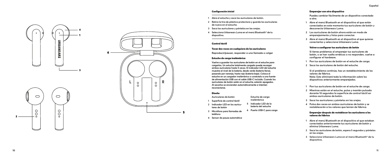#### Configuración inicial

- **1 Abre el estuche y saca los auriculares de botón.**
- **2 Retira la tira de plástico protectora y guarda los auriculares de nuevo en el estuche.**
- 
- **<sup>3</sup> Saca los auriculares y póntelos en las orejas. 4 Selecciona Urbanears Luma en el menú Bluetooth ® de tu dispositivo.**

# Control táctil

### Tocar dos veces en cualquiera de los auriculares

**Reproducir/pausar, responder a una llamada o colgar**

# Estuche de carga inalámbrica

**Vuelve a guardar los auriculares de botón en el estuche para cargarlos. Un estuche totalmente cargado puede recargar ambos auriculares hasta 5 veces. El indicador LED del estuche muestra el nivel de la batería, desde verde (batería llena), pasando por naranja, hasta rojo (batería baja). Coloca el estuche en un cargador inalámbrico o conéctalo a una fuente de alimentación USB con el cable USB-C incluido. Cuando los auriculares de botón estén en el estuche, estarán apagados. Al sacarlos se encienden automáticamente e intentan reconectarse.**

#### Diseño

**lares de botón**

- **Auriculares de botón 1 Superficie de control táctil**
	- **Estuche de carga inalámbrica**
- **2 Indicador LED en los auricu - 5 Indicador LED de la batería del estuche**
- **3 Micrófono para llamadas de teléfono 6 Puerto USB-C para carga**
- **4 Sensor de pausa automática**

#### <span id="page-5-0"></span>Emparejar con otro dispositivo

**Puedes cambiar fácilmente de un dispositivo conectado a otro.**

- **1 Abre el menú Bluetooth en el dispositivo al que están conectados en este momento tus auriculares de botón y desconecta Urbanears Luma.**
- **2 Los auriculares de botón ahora están en modo de emparejamiento y listos para conectar.**
- **3 Abre el menú Bluetooth en el dispositivo al que quieres conectarlos y selecciona Urbanears Luma.**

# Volver a configurar tus auriculares de botón

**Si tienes problemas al emparejar tus auriculares de botón, o se han vuelto erráticos o no responden, vuelve a configurar el hardware.** 

- **1 Pon tus auriculares de botón en el estuche de carga.**
- **2 Saca los auriculares de botón del estuche.**

**Si el problema continúa, haz un restablecimiento de los valores de fábrica. Nota: Esto eliminará toda la información sobre los dispositivos anteriormente emparejados.**

- **1 Pon tus auriculares de botón en el estuche de carga.**
- **2 Mientras están en el estuche, pulsa y mantén pulsada durante 10 segundos la superficie de control táctil en ambos auriculares de botón.**
- **3 Saca los auriculares y póntelos en las orejas.**
- **4 Pulsa dos veces en ambos auriculares de botón y se restablecerán a los valores que tenían de fábrica.**

#### Emparejar después de restablecer los auriculares a los valores de fábrica

- **1 Abre el menú Bluetooth en el dispositivo al que estaban conectados anteriormente tus auriculares de botón y elimina Urbanears Luma.**
- **2 Saca los auriculares de botón, espera 5 segundos y póntelos en las orejas.**
- **3 Selecciona Urbanears Luma en el menú Bluetooth ® de tu dispositivo.**

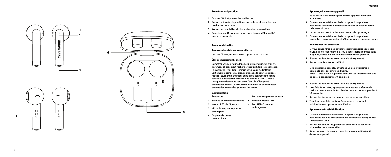#### Première configuration

- **1 Ouvrez l'étui et prenez les oreillettes.**
- **2 Retirez la bande de plastique protectrice et remettez les oreillettes dans l'étui.**
- 
- **<sup>3</sup> Retirez les oreillettes et placez-les dans vos oreilles. 4 Sélectionnez Urbanears Luma dans le menu Bluetooth ® de votre appareil.**

# Commande tactile

### Appuyez deux fois sur une oreillette

**Lecture/Pause, répondre à un appel ou raccrocher**

# Étui de chargement sans fil

**Remettez vos écouteurs dans l'étui de recharge. Un étui en tièrement chargé peut recharger jusqu'à 5 fois les écouteurs. Le voyant LED sur l'étui indique son niveau de batterie : vert (charge complète), orange ou rouge (batterie épuisée). Placez l'étui sur un chargeur sans fil ou connectez-le à une source d'alimentation USB à l'aide du câble USB-C inclus. Lorsque vos écouteurs sont dans l'étui, ils s'éteignent automatiquement. Ils s'allument et tentent de se connecter automatiquement dès que vous les sortez.**

#### **Configuration Écouteurs**

**Étui de chargement sans fil** 

- **1 Surface de commande tactile 5 Voyant batterie LED**
- **2 Voyant LED de l'écouteur 6 Port USB-C pour le**
- **3 Microphone pour répondre aux appels rechargement**
- **4 Capteur de pause**
- **automatique**

#### <span id="page-6-0"></span>Appairage à un autre appareil

**Vous pouvez facilement passer d'un appareil connecté à un autre.**

- **1 Ouvrez le menu Bluetooth de l'appareil auquel vos écouteurs sont actuellement connectés et déconnectez Urbanears Luma.**
- **2 Les écouteurs sont maintenant en mode appairage.**
- **3 Ouvrez le menu Bluetooth de l'appareil auquel vous souhaitez vous connecter et sélectionnez Urbanears Luma.**

#### Réinitialiser vos écouteurs

**Si vous rencontrez des difficultés pour appairer vos écou teurs, s'ils ne répondent plus ou si leurs performances sont inégales, effectuez une réinitialisation d'équipement.** 

- **1 Placez les écouteurs dans l'étui de chargement.**
- **2 Retirez vos écouteurs de l'étui.**

**Si le problème persiste, effectuez une réinitialisation complète aux paramètres d'usine. Note : Cette action supprimera toutes les informations des appareils précédemment appairés.**

- **1 Placez les écouteurs dans l'étui de chargement.**
- **2 Une fois dans l'étui, appuyez et maintenez enfoncée la surface de commande tactile des deux écouteurs pendant 10 secondes.**
- **3 Retirez les écouteurs et placez-les dans vos oreilles.**
- **4 Touchez deux fois les deux écouteurs et ils seront réinitialisés aux paramètres d'usine.**

#### Appairer après réinitialisation

- **1 Ouvrez le menu Bluetooth de l'appareil auquel vos écouteurs étaient précédemment connectés et supprimez Urbanears Luma.**
- **2 Retirez les écouteurs, patientez pendant 5 secondes et placez-les dans vos oreilles.**
- **3 Sélectionnez Urbanears Luma dans le menu Bluetooth ® de votre appareil.**

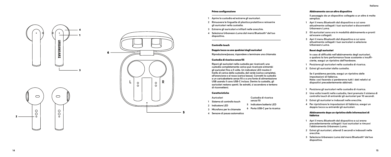#### Prima configurazione

- **1 Aprire la custodia ed estrarre gli auricolari.**
- **2 Rimuovere le linguette di plastica protettive e reinserire gli auricolari nella custodia.**
- 
- **<sup>3</sup> Estrarre gli auricolari e infilarli nelle orecchie. 4 Seleziona Urbanears Luma dal menù Bluetooth ® del tuo dispositivo.**

### Controllo touch

#### Doppio tocco su uno qualsiasi degli auricolari

**Riproduzione/pausa, rispondere o terminare una chiamata**

# Custodia di ricarica senza fili

**Riponi gli auricolari nella custodia per ricaricarli; una custodia completamente carica può ricaricare entrambi gli auricolari fino a 5 volte. Un indicatore LED mostra il livello di carica della custodia, dal verde (carica completa), all'arancione e al rosso (carica bassa). Connetti la custodia a un caricabatterie senza fili o a una fonte di alimentazione USB usando il cavo USB-C incluso. Dentro la custodia, gli auricolari restano spenti. Se estratti, si accendono e tentano di riconnettersi.**

### Caratteristiche

- **Auricolari**
- **1 Sistema di controllo touch**
- **2 Indicatore LED**
- **3 Microfono per le chiamate 6 Porta USB-C per la ricarica**

**Custodia di ricarica senza fili 5 Indicatore batteria LED**

**4 Sensore di pausa automatica**

# <span id="page-7-0"></span>Abbinamento con un altro dispositivo

**Il passaggio da un dispositivo collegato a un altro è molto semplice.**

- **1 Apri il menu Bluetooth dal dispositivo a cui sono attualmente collegati i tuoi auricolari e disconnettili Urbanears Luma.**
- **2 Gli auricolari sono ora in modalità abbinamento e pronti ad essere collegati.**
- **3 Apri il menu Bluetooth dal dispositivo a cui sono attualmente collegati i tuoi auricolari e seleziona Urbanears Luma.**

# Reset degli auricolari

**In caso di difficoltà nell'abbinamento degli auricolari, o qualora la loro performance fosse scostante o insuffi ciente, esegui un ripristino dell'hardware.** 

- **1 Posiziona gli auricolari nella custodia di ricarica.**
- **2 Estrai gli auricolari dalla custodia.**

**Se il problema persiste, esegui un ripristino delle impostazioni di fabbrica. Nota: così facendo si perderanno tutti i dati relativi ai dispositivi precedentemente abbinati.**

- **1 Posiziona gli auricolari nella custodia di ricarica.**
- **2 Una volta inseriti nella custodia, tieni premuto il sistema di controllo touch di entrambi gli auricolari per 10 secondi.**
- **3 Estrai gli auricolari e indossali nelle orecchie.**
- **4 Per ripristinare le impostazioni di fabbrica, esegui un doppio tocco su entrambi gli auricolari.**

#### Abbinamento dopo un ripristino delle informazioni di fabbrica

- **1 Apri il menu Bluetooth dal dispositivo a cui erano precedentemente collegati i tuoi auricolari e rimuovi l'abbinamento Urbanears Luma.**
- **2 Estrai gli auricolari, attendi 5 secondi e indossali nelle orecchie.**
- **3 Seleziona Urbanears Luma dal menù Bluetooth ® del tuo dispositivo.**

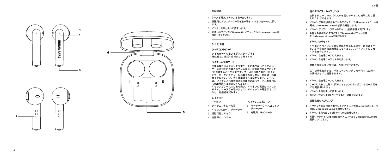<span id="page-8-0"></span>

# **初期設定**

- 1 ケースを開け、イヤホンを取り出します。
- 2 保護用のプラスチックの帯を取り除き、イヤホンをケースに戻し ます。
- 3 イヤホンを取り出して装着します。
- 4 お使いのデバイスの**Bluetooth®**メニューから**Urbanears Luma** を 選択してください。

# **터치 컨트롤**

**タッチコントロール**

**いずれかのイヤホンをダブルタップする** 再生/停止、通話へ応対または終了する

# **ワイヤレス充電ケース**

充電の際にはイヤホンを充電ケースに再び戻してください。 ケースが完全に充電されている場合、左右両方のイヤホンを 5回充電することが可能です。ケースに搭載されたLEDイン ジケーターがバッテリーの残量をお知らせし、色は緑(残量 有)からオレンジ、赤(残量低)へと変わります。ケース は、ワイヤレス充電器または付属の**USB-C**ケーブルを使用し て**USB**電源へと接続してください。 イヤホンがケース内にある際は、イヤホンの電源はオフにな ります。ケースから取り出すことでイヤホンの電源がオンに なり、再接続を試みます。

#### **レイアウト**

- イヤホン 1 タッチコントロール面 2 イヤホン**LED**インジケーター 3 通話可能なマイク ワイヤレス充電ケース 5 バッテリーケース**LED**イン ジケーター 6 充電用**USB-C**ポート
- 4 自動停止センサー

#### **別のデバイスとのペアリング**

接続された一つのデバイスから別のデバイスに簡単に切り替 えることができます。

- **1** イヤホンが現在接続されているデバイス上で**Bluetooth**メニューを 開き、**Urbanears Luma**の接続を解除します。
- **2** イヤホンがペアリングモードになり、接続準備が完了します。
- **3** 希望する接続先のデバイス上で**Bluetooth**メニューを開 き、**Urbanears Luma**を選択します。

# **イヤホンのリセット**

イヤホンのペアリング時に問題が発生した場合、またはイヤ ホンが不安定または無反応になったら、ハードウェアのリセ ットを実行します。

- **1** イヤホンを充電ケースに入れます。
- **2** イヤホンを充電ケースから取り出します。

問題が解決しない場合は、初期化を行います。

注:初期化を行うと、以前にペアリングしたデバイスに関す る情報はすべて削除されます。

- **1** イヤホンを充電ケースに入れます。
- **2** ケースに入れた状態で、両方のイヤホンのタッチコントロール面を 10秒間長押しします。
- **3** イヤホンを取り出して装着します。
- **4** 両方のイヤホンを2回タップすると、初期化されます。

# **初期化後のペアリング**

- **1** イヤホンが以前接続されていたデバイス上で**Bluetooth**メニューを 開き、**Urbanears Luma**を削除します。
- **2** イヤホンを取り出して5秒待ってから装着します。
- **3** お使いのデバイスの**Bluetooth®**メニューから**Urbanears Luma** を 選択してください。

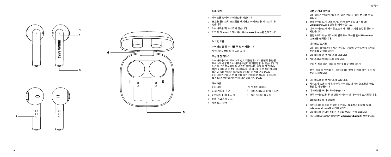<span id="page-9-0"></span>

# **최초 설치**

- 1 케이스를 열어서 이어버드를 꺼냅니다.
- 2 보호용 플라스틱 스트립을 제거하고 이어버드를 케이스에 다시 넣습니다.
- 3 이어버드를 꺼내서 귀에 꼽습니다.
- 4 기기의 Bluetooth® 메뉴에서 **Urbanears Luma**를 선택합니다.

#### **터치 컨트롤**

**이어버드 둘 중 하나를 두 번 터치합니다**

재생/정지, 전화 받기 또는 끊기

# **무선 충전 케이스**

이어버드를 다시 케이스에 넣고 재충전합니다. 완전히 충전된 케이스에서 양쪽 이어버드를 5번까지 재충전할 수 있습니다. 케 이스의 LED 표시기에 녹색(완전 충전)에서 주황색, 빨간색(낮 음)으로 배터리 잔량이 표시됩니다. 케이스를 무선 충전기 위에 놓거나 동봉된 USB-C 케이블로 USB 전원에 연결합니다. 이어버드가 케이스 안에 있을 때는 전원이 꺼집니다. 이어버드 를 꺼내면 전원이 켜지면서 재연결을 시도합니다.

# **레이아웃**

- 이어버드 1 터치 컨트롤 표면 2 이어버드 LED 표시기 3 전화 응답용 마이크 무선 충전 케이스 5 케이스 배터리 LED 표시기 6 충전용 USB-C 포트
- 4 자동정지 센서

**다른 기기와 페어링**

이어버드가 연결된 기기에서 다른 기기로 쉽게 변경할 수 있 습니다.

- **1** 현재 이어버드가 연결된 기기에서 블루투스 메뉴를 열어 **Urbanears Luma** 연결을 해제하십시오 **.**
- **2** 이제 이어버드가 페어링 모드에서 다른 기기와 연결할 준비가 되었습니다 **.**
- **3** 연결하고자 하는 기기에서 블루투스 메뉴를 열어 **Urbanears Luma** 를 선택합니다 **.**

# **이어버드 초기화**

이어버드 페어링에 문제가 있거나 작동이 잘 안되면 하드웨어 초기화를 진행하십시오.

- **1** 이어버드를 충전 케이스에 넣습니다.
- **2** 케이스에서 이어버드를 꺼냅니다.

문제가 지속되면, 데이터 초기화를 진행하십시오.

참고: 데이터 초기화 시, 이전에 페어링한 기기에 대한 모든 정 보가 삭제됩니다.

- **1** 이어버드를 충전 케이스에 넣습니다.
- **2** 케이스에 넣은 상태에서 양쪽 이어버드의 터치 컨트롤을 10초 동안 길게 누릅니다.
- **3** 이어버드를 꺼내서 귀에 꼽습니다.
- **4** 양쪽 이어버드를 두 번 연달아 터치하면 데이터가 초기화됩니다.

# **데이터 초기화 후 페어링**

- **1** 이전에 이어버드가 연결된 기기에서 블루투스 메뉴를 열어 **Urbanears Luma** 를 제거하십시오 **.**
- **2** 이어버드를 꺼내서 **5** 초 동안 기다렸다가 귀에 꼽습니다.
- **3** 기기의 **Bluetooth ®** 메뉴에서 Urbanears Luma를 선택합니다.



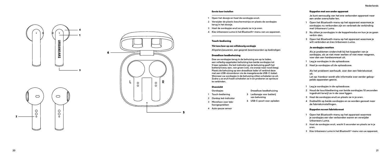#### Eerste keer instellen

- **1 Open het doosje en haal de oordopjes eruit.**
- **2 Verwijder de plastic beschermstrips en plaats de oordopjes terug in het doosje.**
- 
- **<sup>3</sup> Haal de oordopjes eruit en plaats ze in je oren. 4 Kies Urbanears Luma in het Bluetooth®-menu van uw apparaat.**

# Touch-bediening

#### Tik twee keer op een willekeurig oordopje

**Afspelen/pauzeren, een gesprek beantwoorden op beëindigen**

#### Draadloze laadbehuizing

**Doe uw oordopjes terug in de behuizing om op te laden, een volledig opgeladen behuizing kan beide oordopjes tot 5 keer opladen. De led-indicator op de behuizing geeft het batterijniveau aan, van groen (vol), via oranje naar rood (leeg). Plaats de behuizing op een draadloze lader of verbind deze met een USB-stroombron via de meegeleverde USB-C-kabel. Wanneer uw oordopjes in de behuizing zitten schakelen ze uit. Zodra u ze eruit haalt schakelen ze in en proberen ze opnieuw te verbinden.**

> **Draadloze laadbehuizing 5 Ledlampje voor batterij van behuizing**

#### Overzicht

- **Oordopjes**
- **1 Touch-bediening**
- **2 Oordop led-indicator**
- **3 Microfoon voor telefoongesprekken 6 USB-C-poort voor opladen**
- **4 Auto-pauze sensor**

#### <span id="page-10-0"></span>Koppelen met een ander apparaat

**Je kunt eenvoudig van het ene verbonden apparaat naar een ander overschake-len.**

- **1 Open het Bluetooth-menu op het apparaat waarmee je oordopjes nu verbonden zijn en verbreek de verbinding met Urbanears Luma.**
- **2 Nu zitten je oordopjes in de koppelmodus en kun je ze gaan verbin-den.**
- **3 Open het Bluetooth-menu op het apparaat waarmee je wilt verbinden en kies Urbanears Luma.**

# Je oordopjes resetten

**Als je problemen ondervindt bij het koppelen van je oordopjes, als ze niet meer werken of niet meer reageren, voer dan een hardwarereset uit.** 

- **1 Leg je oordopjes in de oplaadcase.**
- **2 Haal je oordopjes uit de oplaadcase.**

**Als het probleem aanhoudt, voer dan een fabrieksreset uit. Let op: hierdoor wordt alle informatie over eerder gekop pelde apparaten gewist.**

- **1 Leg je oordopjes in de oplaadcase.**
- **2 Houd de touchbediening van beide oordopjes 10 seconden ingedrukt terwijl ze in de case liggen.**
- **3 Haal de oordopjes eruit en plaats ze in je oren.**
- **4 Dubbeltik op beide oordopjes en ze worden gereset naar de fabrieksinstellingen.**

#### Koppelen na een fabrieksreset

- **1 Open het Bluetooth-menu op het apparaat waarmee je oordopjes eer-der verbonden waren en verwijder Urbanears Luma.**
- **2 Haal de oordopjes eruit, wacht 5 seconden en plaats ze in je oren.**
- **3 Kies Urbanears Luma in het Bluetooth ®-menu van uw apparaat.**



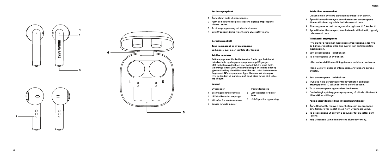Før førstegangsbruk **1 Åpne etuiet og ta ut øreproppene.**

**tilbake i etuiet.**

Berøringskontroll

Trådløs ladeboks

**seg til igjen.** Layout **Ørepropper 1 Berøringskontrolloverflate 2 LED-indikator for ørepropp 3 Mikrofon for telefonsamtaler 4 Sensor for auto-pauser**

**2 Fjern de beskyttende plaststripsene og legg øreproppene** 

**Sett øreproppene tilbake i boksen for å lade opp. En fulladet boks kan lade opp begge øreproppene opptil 5 ganger. LED-indikatoren på boksen viser batterinivå, fra grønt (fullt), via oransje til rødt (lavt). Plasser boksen på en trådløs lader og gjør en tilkobling til en USB-strømkilde via USB-C-kabelen som følger med. Når øreproppene ligger i boksen, slår de seg av. Hvis du tar dem ut, slår de seg på og vil gjøre forsøk på å koble** 

> **Trådløs ladeboks 5 LED-indikator for batter iboks**

**6 USB-C-port for oppladning**

**<sup>3</sup> Ta ut øreproppene og sett dem inn i ørene. 4 Velg Urbanears Luma fra enhetens Bluetooth ®-meny.**

Tapp to ganger på en av øreproppene **Spill/pause, svar på en samtale eller legg på** **Du kan enkelt bytte fra én tilkoblet enhet til en annen.**

- **1 Åpne Bluetooth-menyen på enheten som øreproppene dine er tilkoblet, og koble fra Urbanears Luma.**
- **2 Øreproppene er nå i paringsmodus og klare til å kobles til.**
- **3 Åpne Bluetooth-menyen på enheten du vil koble til, og velg Urbanears Luma.**

# Tilbakestill øreproppene

<span id="page-11-0"></span>Koble til en annen enhet

**Hvis du har problemer med å pare øreproppene, eller hvis de blir uberegnelige eller ikke svarer, kan du tilbakestille maskinvaren.** 

- **1 Sett øreproppene i ladeboksen.**
- **2 Ta øreproppene ut av boksen.**

**Utfør en fabrikktilbakestilling dersom problemet vedvarer.**

**Merk: Dette vil slette all informasjon om tidligere parede enheter.**

- **1 Sett øreproppene i ladeboksen.**
- **2 Trykk og hold berøringskontrolloverflaten på begge øreproppene i 10 sekunder mens de er i boksen.**
- **3 Ta ut øreproppene og sett dem inn i ørene.**
- **4 Dobbelttrykk på begge øreproppene, så blir de tilbakestilt til fabrikkinnstillinger.**

# Paring etter tilbakestilling til fabrikkinnstillinger

- **1 Åpne Bluetooth-menyen på enheten som øreproppene dine tidligere var koblet til, og fjern Urbanears Luma.**
- **2 Ta øreproppene ut og vent 5 sekunder før du setter dem i ørene.**
- **3 Velg Urbanears Luma fra enhetens Bluetooth ®-meny.**



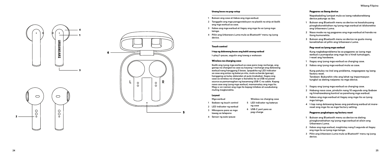#### Unang beses na pag-setup

- **1 Buksan ang case at ilabas ang mga earbud.**
- **2 Tanggalin ang mga pangproteksyon na plastik na strip at ibalik ang mga earbud sa case.**
- **3 Ilabas ang mga earbud at ilagay ang mga ito sa iyong mga tainga.**
- **4 Piliin ang Urbanears Luma mula sa Bluetooth ® menu ng iyong device.**

#### Touch control

#### I-tap ng dalawang beses ang kahit anong earbud

**I-play/i-pause, sagutin ang tawag o wakasan**

#### Wireless na charging case

**Ibalik ang iyong mga earbud sa case para mag-recharge, ang ganap na charged na case ay kayang i-recharge ang dalawang earbud nang hanggang 5 beses. Ipapakita ng LED indicator sa case ang antas ng baterya nito, mula sa berde (ganap), hanggang sa kulay dalandan at pula (mababa). Ilagay ang case sa wireless na charger o ikonekta ito sa USB na power source sa pamamagitan ng kasamang USB-C na cable. Kapag nasa case ang iyong mga earbud, mamamatay ang mga ito. Mag-o-on naman ang mga ito kapag inilabas at susubukang muling magkonekta.**

> **Wireless na charging case 5 LED indicator ng baterya ng case 6 USB-C port para sa pag-charge**

# Layout

- **Mga earbud**
- **1 Ibabaw ng touch control**
- **2 LED indicator ng earbud**
- **3 Mikropono para sa mga tawag sa telepono**
- **4 Sensor ng auto-pause**

# <span id="page-12-0"></span>Pagpares sa ibang device

**Napakadaling lumipat mula sa isang nakakonektang device patungo sa iba.**

- **1 Buksan ang Bluetooth menu sa device na kasalukuyang pinagkokonektahan ng iyong mga earbud at idiskonekta ang Urbanears Luma.**
- **2 Nasa mode na ng pagpares ang mga earbud at handa na itong kumonekta.**
- **3 Buksan ang Bluetooth menu sa device na gusto mong konektahan at piliin ang Urbanears Luma.**

### Pag-reset sa iyong mga earbud

**Kung nagkakaproblema ka sa pagpares sa iyong mga earbud o pumapalya ang mga ito o hindi tumutugon, i-reset ang hardware.** 

- **1 Ilagay ang iyong mga earbud sa charging case.**
- **2 Ilabas ang iyong mga earbud mula sa case.**

**Kung patuloy na iiral ang problema, magsagawa ng isang factory reset. Tandaan: Buburahin nito ang lahat ng impormasyon tungkol sa dating naipares na mga device.**

- **1 Ilagay ang iyong mga earbud sa charging case.**
- **2 Habang nasa case, pindutin nang 10 segundo ang ibabaw ng hinahawakang kontrol sa parehong mga earbud.**
- **3 Ilabas ang mga earbud at ilagay ang mga ito sa iyong mga tainga.**
- **4 I-tap nang dalawang beses ang parehong earbud at marereset ang mga ito sa mga factory setting.**

#### Pagpares pagkatapos ng factory reset

- **1 Buksan ang Bluetooth menu sa device na dating pinagkonektahan ng iyong mga earbud at alisin ang Urbanears Luma.**
- **2 Ilabas ang mga earbud, maghintay nang 5 segundo at ilagay ang mga ito sa iyong mga tainga.**
- **3 Piliin ang Urbanears Luma mula sa Bluetooth ® menu ng iyong device.**



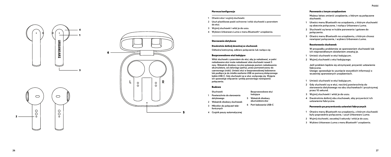#### Pierwsza konfiguracja

- **1 Otwórz etui i wyjmij słuchawki.**
- **2 Usuń plastikowe paski ochronne i włóż słuchawki z powrotem do etui.**
- 
- **<sup>3</sup> Wyjmij słuchawki i włóż je do uszu. 4 Wybierz Urbanears Luma z menu Bluetooth ® urządzenia.**

# Sterowanie dotykowe

#### Dwukrotnie dotknij dowolnej ze słuchawek

**Odtwórz/wstrzymaj, odbierz połączenie lub rozłącz się**

#### Bezprzewodowe etui ładujące

**Włóż słuchawki z powrotem do etui, aby je naładować, w pełni naładowane etui może naładować obie słuchawki nawet 5 razy. Wskaźnik diodowy na etui pokazuje poziom naładowania akumulatora, od zielonego (pełny), przez pomarańczowy do czerwonego (niski). Umieść etui w bezprzewodowej ładowarce lub podłącz je do źródła zasilania USB za pomocą dołączonego kabla USB-C. Gdy słuchawki są w etui, wyłączają się. Wyjęcie ich spowoduje włączenie i próbę ponownego nawiązania połączenia.**

> **Bezprzewodowe etui ładujące 5 Wskaźnik diodowy akumulatora etui**

#### Budowa

- **Słuchawki**
- **1 Powierzchnia do sterowania** 
	- **dotykowego**
- **2 Wskaźnik diodowy słuchawek**
- **3 Mikrofon do połączeń telefonicznych 6 Port ładowania USB-C**
- **4 Czujnik pauzy automatycznej**

#### <span id="page-13-0"></span>Parowanie z innym urządzeniem

**Możesz łatwo zmienić urządzenie, z którym są połączone słuchawki.**

- **1 Utwórz menu Bluetooth na urządzeniu, z którym słuchawki są obecnie połączone, i rozłącz Urbanears Luma.**
- **2 Słuchawki są teraz w trybie parowania i gotowe do połączenia.**
- **3 Otwórz menu Bluetooth na urządzeniu, z którym chcesz nawiązać połączenie, i wybierz Urbanears Luma.**

#### Resetowanie słuchawek

**W przypadku problemów ze sparowaniem słuchawek lub ich nieprawidłowym działaniem zresetuj je.** 

- **1 Umieść słuchawki w etui ładującym.**
- **2 Wyjmij słuchawki z etui ładującego.**

**Jeśli problem będzie się utrzymywał, przywróć ustawienia fabryczne. Uwaga: spowoduje to usunięcie wszystkich informacji o wcześniej sparowanych urządzeniach.**

- **1 Umieść słuchawki w etui ładującym.**
- **2 Gdy słuchawki są w etui, naciśnij powierzchnię do sterowania dotykowego na obu słuchawkach i przytrzymaj przez 10 sekund.**
- **3 Wyjmij słuchawki i włóż je do uszu.**
- **4 Dwukrotnie dotknij obu słuchawek, aby przywrócić ich ustawienia fabryczne.**

# Parowanie po przywróceniu ustawień fabrycznych

- **1 Otwórz menu Bluetooth na urządzeniu, z którym słuchawki były poprzednio połączone, i usuń Urbanears Luma.**
- **<sup>2</sup> Wyjmij słuchawki, zaczekaj 5 sekundy i włóż je do uszu. 3 Wybierz Urbanears Luma z menu Bluetooth® urządzenia.**
- 

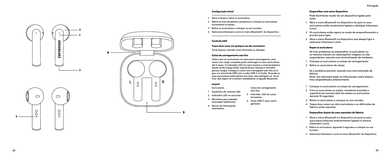#### Configuração inicial

- **1 Abra o estojo e retire os auriculares.**
- **2 Retire as tiras de plástico protetoras e coloque os auriculares novamente no estojo.**
- 
- **<sup>3</sup> Retire os auriculares e coloque-os nos ouvidos. 4 Selecione Urbanears Luma no menu Bluetooth® do dispositivo.**

# Controlo tátil

#### Toque duas vezes em qualquer um dos auriculares

**Tocar/pausa, atender uma chamada ou desligar**

#### Caixa de carregamento sem fios

**Volte a pôr os auriculares na caixa para recarregarem; uma caixa com carga completa pode recarregar os seus auriculares até 5 vezes. O indicador LED na caixa mostra o nível da bateria, desde verde (carga total), passando por laranja a vermelho (pouca carga). Coloque a caixa num carregador sem fios ou li gue-a a uma fonte USB com o cabo USB-C incluído. Quando os seus auriculares estão dentro da caixa, eles desligam-se. Se os tirar, eles ligam-se e tentam restabelecer a ligação Bluetooth.**

> **Caixa de carregamento sem fios 5 Indicador LED da caixa da bateria 6 Porta USB-C para carre gamento**

#### Layout

- **Auriculares**
- **1 Superfície de controlo tátil**
- **2 Indicador LED no auricular**
- **3 Microfone para atender chamadas telefónicas**
- **4 Sensor de interrupção automático**

### <span id="page-14-0"></span>Emparelhar com outro dispositivo

**Pode facilmente mudar de um dispositivo ligado para outro.**

- **1 Abra o menu Bluetooth no dispositivo ao qual os seus auriculares estão atualmente ligados e desligue Urbanears Luma.**
- **2 Os auriculares estão agora no modo de emparelhamento e prontos para ligar.**
- **3 Abra o menu Bluetooth no dispositivo que deseja ligar e selecione Urbanears Luma.**

# Repor os auriculares

**Se tiver problemas ao emparelhar os auriculares ou os mesmos tiverem um desempenho irregular ou não responderem, execute uma reinicialização de hardware.** 

- **1 Coloque os auriculares no estojo de carregamento.**
- **2 Retire os auriculares do estojo.**

**Se o problema persistir, execute uma reinicialização de fábrica.**

**Nota: isto eliminará todas as informações sobre disposi tivos emparelhados anteriormente.**

- **1 Coloque os auriculares no estojo de carregamento.**
- **2 Com os auriculares no estojo, mantenha premida a superfície de controlo tátil em ambos os auriculares durante 10 segundos.**
- **3 Retire os auriculares e coloque-os nos ouvidos.**
- **4 Toque duas vezes nos dois auriculares e as definições de fábrica serão repostas.**

# Emparelhar depois de uma reposição de fábrica

- **1 Abra o menu Bluetooth no dispositivo ao qual os seus auriculares estavam anteriormente ligados e remova Urbanears Luma.**
- **2 Retire os auriculares, aguarde 5 segundos e coloque-os nos ouvidos.**
- **3 Selecione Urbanears Luma no menu Bluetooth ® do dispositivo.**

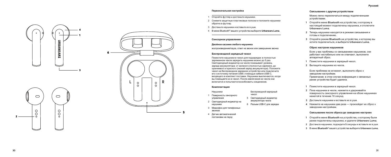#### **Первоначальная настройка**

- 1 Откройте футляр и достаньте наушники.
- 2 Снимите защитные пластиковые полоски и положите наушники обратно в футляр.
- 3 Достаньте наушники и вставьте их в уши.
- 4 В меню Bluetooth® вашего устройства выберите **Urbanears Luma** .

#### **Сенсорное управление**

#### **Двойное касание любого наушника**

воспроизведение/пауза, ответ на звонок или завершение звонка

#### **Беспроводной зарядный чехол**

Поместите наушники в чехол для подзарядки: в полностью заряженном чехле зарядить наушники можно до 5 раз. Светодиодный индикатор на чехле показывает уровень заряда аккумулятора: от зеленого (полностью заряжен), до оранжевого и красного (низкий заряд аккумулятора). Положите чехол на беспроводное зарядное устройство или подключите его к источнику питания USB c помощью кабеля USB-C, входящего в комплект поставки. Наушники выключаются, когда вы помещаете их в чехол. После извлечения из чехла они включатся и попытаются возобновить соединение.

Беспроводной зарядный

5 Светодиодный индикатор аккумулятора чехла

чехол

#### **Комплектация**

Наушники

- 1 Поверхность сенсорного
	- управления
- 2 Светодиодный индикатор на наушнике
- 3 Микрофон для телефонных 6 Разъем USB-C для зарядки
- звонков
- 4 Датчик автоматической постановки на паузу

#### <span id="page-15-0"></span>**Связывание с другим устройством**

Можно легко переключаться между подключенными устройствами.

- **1** Откройте меню **Bluetooth** на устройстве**,**  к которому в настоящий момент подключены наушники**,**  и отключите **Urbanears Luma.**
- **2** Теперь наушники находятся в режиме связывания и готовы к подключению **.**
- **3** Откройте режим **Bluetooth** на устройстве**,**  к которому вы хотите подключиться**,**  и выберите **Urbanears Luma.**

#### **Сброс настроек наушников**

Если у вас проблемы со связыванием наушников, они работают нестабильно или не отвечают, выполните аппаратный сброс.

- **1** Поместите наушники в зарядный чехол **.**
- **2** Вытащите наушники из чехла **.**

Если проблема не исчезнет, выполните сброс к заводским настройкам. Примечание: в этом случае информация о связанных ранее устройства будет удалена.

- **1** Поместите наушники в зарядный чехол.
- **2** Пока наушники в чехле, нажмите и удерживайте поверхность сенсорного управления на обоих наушниках нажатой в течение 10 секунд.
- **3** Достаньте наушники и вставьте их в уши.
- **4** Нажмите на наушники два раза произойдет их сброс к заводским настройкам.

#### **Связывание после сброса до заводских настроек**

- **1** Откройте меню **Bluetooth** на устройстве**,**  к которому были ранее подключены наушники**,**  и удалите **Urbanears Luma.**
- **2** Достаньте наушники, подождите **5** секунды и вставьте их в уши.
- **3** В меню **Bluetooth®** вашего устройства выберите **Urbanears Luma.**

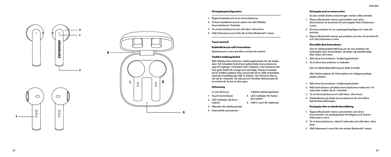# Förstagångskonfiguration

- **1 Öppna fodralet och ta ut öronsnäckorna.**
- **2 Ta bort skyddsremsorna i plast och sätt tillbaka öronsnäckorna i fodralet.**
- 
- **<sup>3</sup> Ta ut öronsnäckorna och sätt dem i dina öron. 4 Välj Urbanears Luma från din enhets Bluetooth ®-meny.**

#### Touch-kontroll

# Dubbelklicka på valfri öronsnäcka

**Spela/pausa, svara på eller avsluta ett samtal**

# Trådlöst laddningsfodral

**Sätt tillbaka dina hörlurar i laddningsfodralet för att ladda dem. Ett fulladdat fodral kan ladda båda öronsnäckorna upp till 5 gånger. Fodralets LED-indikator visar batterinivån från grön (fullt) till orange och röd (lågt). Placera fodralet på en trådlös laddare eller anslut det till en USB-strömkälla med den medföljande USB-C-kabeln. Din hörlurar slås av när de är i fodralet. De slås på och försöker återansluta till en enhet när du tar ut dem igen.**

#### Utformning

- **In-ear hörlurar**
- **1 Touch-kontrollsyta**
- **2 LED-indikator på öron lets batteri**

**5 LED-indikator för fodra - 6 USB-C-port för laddning**

**Trådlöst laddningsfodral**

- **3 Mikrofon för telefonsamtal**
- **4 Automatisk paussensor**

**snäcka**

## <span id="page-16-0"></span>Parkoppla med en annan enhet

**Du kan enkelt ändra anslutningen mellan olika enheter.**

- **1 Öppna Bluetooth-menyn på enheten som dina öronsnäckor är anslutna till och koppla ifrån Urbanears Luma.**
- **2 Din öronsnäckor är nu i parkopplingsläge och redo att ansluta.**
- **3 Öppna Bluetooth-menyn på enheten som du vill ansluta till och välj Urbanears Luma.**

#### Återställa dina öronsnäckor

**Gör en hårdvaruåterställning om du har problem att parkoppla dina öronsnäckor, de beter sig oberäkneligt eller slutar att svara.** 

- **1 Sätt dina öronsnäckor i laddningsfodralet.**
- **2 Ta ut dina öronsnäckor ur fodralet.**

**Gör en fabriksåterställning om felet kvarstår.**

**Obs! Detta raderar all information om tidigare parkop plade enheter.**

- **1 Sätt dina öronsnäckor i laddningsfodralet.**
- **2 Håll kontrollytan på båda öronsnäckorna nedtryckt i 10 sekunder medan de är i fodralet.**
- **3 Ta ut öronsnäckorna och sätt dem i dina öron.**
- **4 Dubbelklicka på båda öronsnäckorna för att utföra fabriksåterställningen.**

# Parkoppla efter en fabriksåterställning

- **1 Öppna Bluetooth-menyn på enheten som dina öronsnäckor var parkopplade till tidigare och ta bort Urbanears Luma.**
- **2 Ta ut öronsnäckorna, vänta 5 sekunder och sätt dem i dina öron.**
- **3 Välj Urbanears Luma från din enhets Bluetooth ®-meny.**

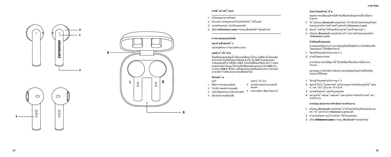# **การตั ้ งค ่าคร ั ้ งแรก**

- 1 เปิดเคสและเอาหพังออก
- ่ 2 ดึงแถบป ้องกันออกและใส*่*ห ฟังกลับเข ้าไปในเคส
- 3 เอาหพ*ั*งออกแล<sup>้</sup> วสวมในหของคุณ ิ
- 4 เล ือก **Urbanears Luma** จากเมน ู Bluetooth® ของอุปกรณ ์

# **การควบคุมแบบส ัมผ ัส**

# **แตะท ี ่ห ูฟ ังสองคร ั ้ ง**

เล่น/หยุดชั่วคราว รับสายหรือวางสาย

# **เคสชาร ์ จไร ้ สาย**

ใส่หูฟังของคุณกลับเข้าไปในเคสเพื่อชาร์จใหม่ เคสที่ชาร์จไฟจนเต็ม สามารถชาร์จหูฟังทั้งสองได้สูงสุด **5** ครั้ง ไฟ **LED** ในเคสจะแสดง ระดับแบตเตอรี่ จากสีเขียว **(**เต็ม**)** ไปจนถึงสีส้มและสีแดง **(**ต่ำ **)** วางเคส บนอุปกรณ์ชาร์จแบบไร้สายหรือเชื่อมต่อกับแหล่งจ่ายไฟ **USB** ผ่าน ทางสาย **USB-C** ที่ให้มา หูฟังของคุณจะปิดเมื่ออยู่ในเคส การนำ ออก มาจะเป็นการเปิดและพยายามเชื่อมต่อใหม่

#### **โครงสร ้ าง** หูฟ ัง

- เคสชาร ์ จไร ้ สาย
- 1 พื้นผิวการควบคุมแบบสัมผัส 5 ไฟ LED แสดงสถานะแบตเตอรี่

ของเคส

- 2 ไฟ LED แสดงสถานะของหูฟัง
- 3 ไมโครโฟนสำ หรับการใช้งานโทรศัพท์ 6 พอร์ต USB-C เพื่อชาร์จอุปกรณ์
- 4 เซ็นเซอร์การหยุดอัตโนมัติ

# <span id="page-17-0"></span>**จับค ู่กับอุปกรณ ์ อ ื ่น**

คุณสามารถเปลี่ยนอุปกรณ์ที่กำ ลังเชื่อมต่อเป็นอุปกรณ์อื่นได้อย่าง ง่ายดาย

- **1** ให ้ เป ิดเมน ู **Bluetooth** บนอุปกรณ ์ ท ี่กำ ลังเช ื่อมต่อกับห ูฟ ังของ คุณและยกเล ิกการเช ื่อมเช ื่อมต่อกับ **Urbanears Luma**
- 2 ขณะนี้หูฟ**ังอยู**่ในโหมดจับคู**่และพร**้อมเชื่อมต่อแล<sup>้</sup>ว
- **3** เป ิดเมน ู **Bluetooth** บนอุปกรณ ์ ท ี่ต ้ องการเช ื่อมต่อและเล ือก  **Urbanears Luma**

# **ร ีเซ ็ตห ูฟ ังของคุณ**

หากคุณพบปัญหาระหว่างการจับคู่หูฟังหรือหูฟังทำ งานไม่เสถียรหรือ ้าน แนะหยองดูทางออกราชนางชู<br>- ไม่ตอบสนอง ให้รีเซ็ตฮาร์ดแวร์

- **1** ใส ่ห ูฟ ังในเคสส ำ หรับการชาร ์ จ
- **2** นำหฟ**ังออกจากเคส**

หากไม่สามารถแก้ปัญหาได้โปรดรีเช็ตเครื่องเป็นการตั้งค่าจาก โรงงาน

หมายเหตุ**:** การดำ เนินการดังกล่าวจะลบข้อมูลในอุปกรณ์ที่จับคู่กัน ก่อนหน้านี้ทั้งหมด

- **1** ใส ่ห ูฟ ังในเคสส ำ หรับการชาร ์ จ
- 2 ขณะที่ใส ไว ในเคส กดพ ื นผ*ิ*วควบคุมการส*ั*มผัสบนหูฟังทั งสอง<br>ข้ างค ้างไว ้เป*็*นเวลา 10 ว*ิ*นาท*ี*
- **3** เอาห ูฟ ังออกแล ้ วสวมในห ูของคุณ
- ี **4** แตะหพังทั้งสองข้างสองครั้งและหพังจะรีเซ็ตเป็นการตั้งค่า จากโรงงาน

# **การจับค ู่หลังจากการร ีเซ ็ตค ่าจากโรงงาน**

- **1** เป ิดเมน ู **Bluetooth** บนอุปกรณ ์ ท ี่เช ื่อมต่อกับห ูฟ ังของคุณก่อน หน ้ าน ี ้ และนำ เอา **Urbanears Luma** ออก
- **2** นำ เอาห ูฟ ังออก รอ **5** ว ินาท ีแล ้ วใส่ในห ูของคุณ
- **3** เล ือก Urbanears Luma จากเมน ู **Bluetooth®** ของอุปกรณ ์

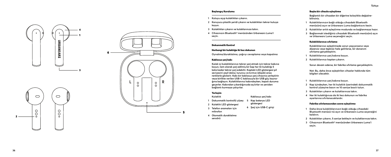# Başlangıç Kurulumu

- **1 Kutuyu açıp kulaklıkları çıkarın.**
- **2 Koruyucu plastik şeridi çıkarın ve kulaklıkları tekrar kutuya koyun.**
- 
- **<sup>3</sup> Kulaklıkları çıkarın ve kulaklarınıza takın. 4 Cihazınızın Bluetooth® menüsünden Urbanears Luma'i seçin.**

# Dokunmatik Kontrol

# Herhangi bir kulaklığa iki kez dokunun

**Oynatma/duraklatma, çağrıyı cevaplama veya kapatma**

### Kablosuz şarj kabı

**Kulak içi kulaklıklarınızı tekrar şarj etmek için tekrar kabına koyun, tam olarak şarj edilmiş bir kap her iki kulaklığı 5 kata kadar tekrar şarj edebilir. Kaptaki LED göstergesi pil seviyesini yeşil (dolu), turuncu ve kırmızı (düşük) arası renklerle gösterir. Kabı bir kablosuz şarj cihazına yerleştirin veya birlikte verilen USB-C kablosuyla bir USB güç kayna ğına bağlayın. Kulaklıklarınız kabındayken, kapalı duruma geçerler. Kabından çıkardığınızda açılırlar ve yeniden bağlantı kurmaya çalışırlar.**

#### Yerleşim **Kulaklık**

**Kablosuz şarj kabı göstergesi**

- **1 Dokunmatik kontrollü yüzey 5 Kap batarya LED**
- **2 Kulaklık LED göstergesi**
- **3 Telefon aramaları için mikrofon 6 Şarj için USB-C girişi**
- **4 Otomatik duraklatma**
- **sensörü**

# <span id="page-18-0"></span>Başka bir cihazla eşleştirme

**Bağlantılı bir cihazdan bir diğerine kolaylıkla değiştire bilirsiniz.**

- **1 Kulaklıklarınızın bağlı olduğu cihazdaki Bluetooth menüsünü açın ve Urbanears Luma bağlantısını kesin.**
- **2 Kulaklıklar artık eşleştirme modunda ve bağlanmaya hazır.**
- **3 Bağlanmak istediğiniz cihazdaki Bluetooth menüsünü açın ve Urbanears Luma seçeneğini seçin.**

# Kulaklıklarınızı sıfırlama

**Kulaklıklarınızı eşleştirmede sorun yaşıyorsanız veya düzensiz veya tepkisiz hale gelirlerse, bir donanım sıfırlama gerçekleştirin.** 

- **1 Kulaklıklarınızı şarj kabına koyun.**
- **2 Kulaklıklarınızı kaptan çıkarın.**

**Sorun devam ederse, bir fabrika sıfırlama gerçekleştirin.**

**Not: Bu, daha önce eşleştirilen cihazlar hakkında tüm bilgileri silecektir.**

- **1 Kulaklıklarınızı şarj kabına koyun.**
- **2 Kap içindeyken, her iki kulaklık üzerindeki dokunmatik kontrol yüzeyine basın ve 10 saniye basılı tutun.**
- **3 Kulaklıkları çıkarın ve kulaklarınıza takın.**
- **4 Her iki kulaklığınıza da iki kez dokunun ve fabrika ayarlarına sıfırlanacaklardır.**

# Fabrika sıfırlamasından sonra eşleştirme

- **1 Daha önce kulaklıklarınızın bağlı olduğu cihazdaki Bluetooth menüsü-nü açın ve Urbanears Luma seçeneğini kaldırın.**
- **<sup>2</sup> Kulaklıkları çıkarın, 5 saniye bekleyin ve kulaklarınıza takın. 3 Cihazınızın Bluetooth® menüsünden Urbanears Luma'i**
- **seçin.**

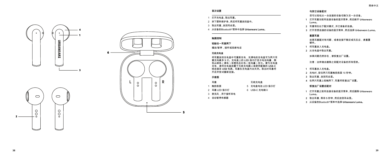<span id="page-19-0"></span>

您可以轻松从一台连接的设备切换为另一台设备。

- **1** 打开耳塞当前所连接设备的蓝牙菜单,然后断开 **Urbanears Luma** 。
- **2** 耳塞现在处于配对模式,并已准备好连接。
- **3** 打开您想连接的设备的蓝牙菜单,然后选择 **Urbanears Luma** 。

# **重置耳塞**

如果耳塞配对有问题,或者连接不稳定或无反应,请重置 硬件。

- **1** 将耳塞放入充电盒。
- **2** 从充电盒中取出耳塞。

如果问题仍然存在,请恢复出厂设置。

注意:这样做会删除之前配对设备的所有信息。

- **1** 将耳塞放入充电盒。
- **2** 充电时,按住两只耳塞触控表面 10 秒钟。
- **3** 取出耳塞,放到耳朵里。
- **4** 在两只耳塞上轻触两下,耳塞将恢复出厂设置。

### **恢复出厂设置后配对**

- **1** 打开耳塞之前所连接设备的蓝牙菜单,然后删除 **Urbanears Luma** 。
- **2** 取出耳塞,等待 **5** 秒钟,然后放到耳朵里。
- **3** 从设备的Bluetooth®菜单中选择 **Urbanears Luma** 。

# **首次设置**

- 1 打开充电盒,取出耳塞。
- 2 拆下塑料保护条,然后将耳塞放回盒中。
- 3 取出耳塞,放到耳朵里。
- 4 从设备的Bluetooth®菜单中选择 **Urbanears Luma** 。

# **触摸控制**

**轻敲任一耳塞两下**

播放/暂停,接听或挂断电话

# **无线充电盒**

将耳塞放回充电盒中可重新充电,充满电的充电盒可为两只耳 塞充电最多 **5** 次。充电盒上的 **LED** 指示灯显示电池电量,颜 色从绿色(满电)至橙色及红色(低电量)变化。要为充电盒 充电,请将充电盒放置于无线充电器上或使用配套的 **USB-C**  线连接至 **USB** 电源。耳塞在充电盒内会关闭。取出时耳塞将 开启并尝试重新连接。

# **示意图**

| 耳塞           | 无线充电盒           |
|--------------|-----------------|
| 1 触控表面       | 5 充电盒电池 LED 指示灯 |
| 2 耳塞 LED 指示灯 | 6 USB-C 充电端口    |
| 3 麦克风 用于接听来电 |                 |

4 自动暂停传感器

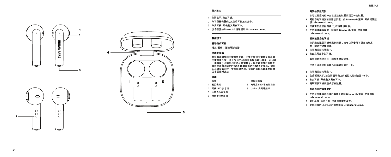<span id="page-20-0"></span>

# **與其他裝置配對**

您可以輕鬆地從一台已連接的裝置改到另一台裝置。

- **1** 開啟您的耳機當前已連接裝置上的 **Bluetooth** 選單,然後斷開連 接 **Urbanears Luma**。
- **2** 耳機現在處於配對模式,在待連接狀態。
- **3** 在您要連接的裝置上開啟其 **Bluetooth** 選單,然後選擇 **Urbanears Luma** 。

# **重新設置您的耳機**

如果您在配對耳機時遇到問題,或者它們變得不穩定或無反 應,請執行硬體重置。

- **1** 將耳機放回充電盒中。
- **2** 取出充電盒中的耳機。

如果問題仍然存在,請恢復原廠設置。

注意:這將刪除有關先前配對裝置的一切。

- **1** 將耳機放回充電盒中。
- **2** 在這種情況下,按住兩個耳機上的觸控式控制表面 10 秒。
- **3** 取出耳機,然後將其戴在耳中。
- **4** 雙擊兩個耳機恢復成原廠設置。

# **恢復原廠設置後配對**

- **1** 在您以前連接過耳機的裝置上打開 **Bluetooth** 選單,然後刪除 **Urbanears Luma** 。
- **2** 取出耳機,等待 5 秒,然後將其戴在耳中。
- **3** 從您裝置的Bluetooth® 選單選取 **Urbanears Luma** 。

# **首次設定**

- 1 打開盒子,取出耳機。
- 2 取下塑膠保護條,然後將耳機放回盒中。
- 3 取出耳機,然後將其戴在耳中。
- 4 從您裝置的Bluetooth® 選單選取 **Urbanears Luma** 。

# **觸控模式**

**雙擊任何耳機**

播放 **/**暫停、接聽電話或掛

# **無線充電盒**

將您的耳機放回充電盒中充電。完整充電的充電盒可為耳機 充電高達 **5** 次。盒上的 **LED** 指示燈會顯示電池電量,由綠色 (滿電量)至橘色到紅色(低電量)。將充電盒放在無線充 電器或是透過隨附的 **USB-C** 纜線連結到 **USB** 充電座。當您 的耳機在盒內時,會是關機狀態。從盒內取出將會重新開機 **动营試重新連結** 

# **結構**

| 耳機           | 無線充電盒           |
|--------------|-----------------|
| 1 觸控表面       | 5 充電盒 LFD 電池指示燈 |
| 2 耳機 LED 指示燈 | 6 USB-C 充電連接埠   |
| 3. 手機通話麥克風   |                 |

4 自動暫停感應器